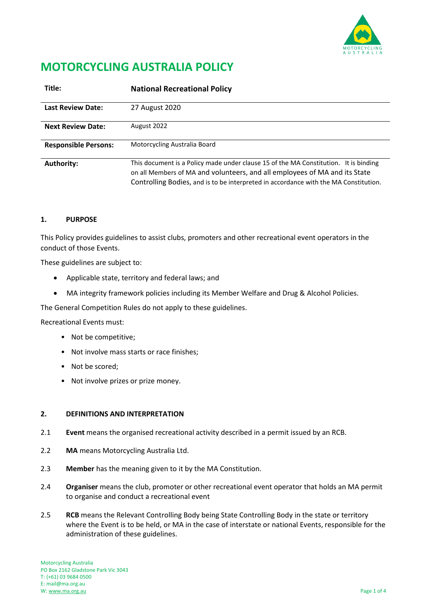

# **MOTORCYCLING AUSTRALIA POLICY**

| Title:                      | <b>National Recreational Policy</b>                                                                                                                                                                                                                        |
|-----------------------------|------------------------------------------------------------------------------------------------------------------------------------------------------------------------------------------------------------------------------------------------------------|
| <b>Last Review Date:</b>    | 27 August 2020                                                                                                                                                                                                                                             |
| <b>Next Review Date:</b>    | August 2022                                                                                                                                                                                                                                                |
| <b>Responsible Persons:</b> | Motorcycling Australia Board                                                                                                                                                                                                                               |
| <b>Authority:</b>           | This document is a Policy made under clause 15 of the MA Constitution. It is binding<br>on all Members of MA and volunteers, and all employees of MA and its State<br>Controlling Bodies, and is to be interpreted in accordance with the MA Constitution. |

### **1. PURPOSE**

This Policy provides guidelines to assist clubs, promoters and other recreational event operators in the conduct of those Events.

These guidelines are subject to:

- Applicable state, territory and federal laws; and
- MA integrity framework policies including its Member Welfare and Drug & Alcohol Policies.

The General Competition Rules do not apply to these guidelines.

Recreational Events must:

- Not be competitive;
- Not involve mass starts or race finishes;
- Not be scored;
- Not involve prizes or prize money.

# **2. DEFINITIONS AND INTERPRETATION**

- 2.1 **Event** means the organised recreational activity described in a permit issued by an RCB.
- 2.2 **MA** means Motorcycling Australia Ltd.
- 2.3 **Member** has the meaning given to it by the MA Constitution.
- 2.4 **Organiser** means the club, promoter or other recreational event operator that holds an MA permit to organise and conduct a recreational event
- 2.5 **RCB** means the Relevant Controlling Body being State Controlling Body in the state or territory where the Event is to be held, or MA in the case of interstate or national Events, responsible for the administration of these guidelines.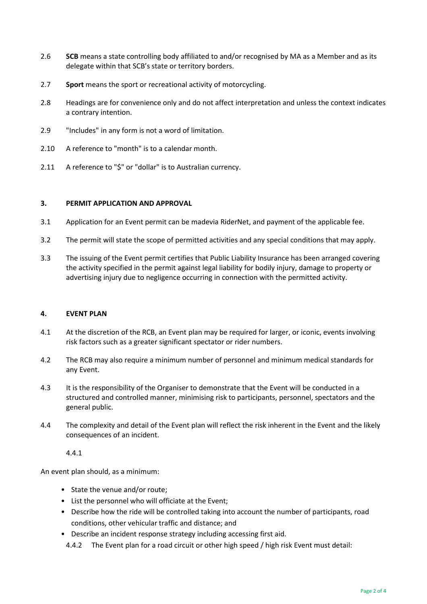- 2.6 **SCB** means a state controlling body affiliated to and/or recognised by MA as a Member and as its delegate within that SCB's state or territory borders.
- 2.7 **Sport** means the sport or recreational activity of motorcycling.
- 2.8 Headings are for convenience only and do not affect interpretation and unless the context indicates a contrary intention.
- 2.9 "Includes" in any form is not a word of limitation.
- 2.10 A reference to "month" is to a calendar month.
- 2.11 A reference to "\$" or "dollar" is to Australian currency.

#### **3. PERMIT APPLICATION AND APPROVAL**

- 3.1 Application for an Event permit can be madevia RiderNet, and payment of the applicable fee.
- 3.2 The permit will state the scope of permitted activities and any special conditions that may apply.
- 3.3 The issuing of the Event permit certifies that Public Liability Insurance has been arranged covering the activity specified in the permit against legal liability for bodily injury, damage to property or advertising injury due to negligence occurring in connection with the permitted activity.

#### **4. EVENT PLAN**

- 4.1 At the discretion of the RCB, an Event plan may be required for larger, or iconic, events involving risk factors such as a greater significant spectator or rider numbers.
- 4.2 The RCB may also require a minimum number of personnel and minimum medical standards for any Event.
- 4.3 It is the responsibility of the Organiser to demonstrate that the Event will be conducted in a structured and controlled manner, minimising risk to participants, personnel, spectators and the general public.
- 4.4 The complexity and detail of the Event plan will reflect the risk inherent in the Event and the likely consequences of an incident.

4.4.1

An event plan should, as a minimum:

- State the venue and/or route;
- List the personnel who will officiate at the Event;
- Describe how the ride will be controlled taking into account the number of participants, road conditions, other vehicular traffic and distance; and
- Describe an incident response strategy including accessing first aid.
- 4.4.2 The Event plan for a road circuit or other high speed / high risk Event must detail: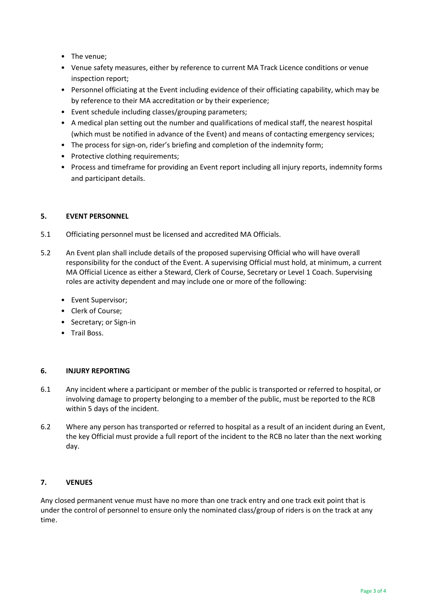- The venue;
- Venue safety measures, either by reference to current MA Track Licence conditions or venue inspection report;
- Personnel officiating at the Event including evidence of their officiating capability, which may be by reference to their MA accreditation or by their experience;
- Event schedule including classes/grouping parameters;
- A medical plan setting out the number and qualifications of medical staff, the nearest hospital (which must be notified in advance of the Event) and means of contacting emergency services;
- The process for sign-on, rider's briefing and completion of the indemnity form;
- Protective clothing requirements;
- Process and timeframe for providing an Event report including all injury reports, indemnity forms and participant details.

### **5. EVENT PERSONNEL**

- 5.1 Officiating personnel must be licensed and accredited MA Officials.
- 5.2 An Event plan shall include details of the proposed supervising Official who will have overall responsibility for the conduct of the Event. A supervising Official must hold, at minimum, a current MA Official Licence as either a Steward, Clerk of Course, Secretary or Level 1 Coach. Supervising roles are activity dependent and may include one or more of the following:
	- Event Supervisor;
	- Clerk of Course;
	- Secretary; or Sign-in
	- Trail Boss.

#### **6. INJURY REPORTING**

- 6.1 Any incident where a participant or member of the public is transported or referred to hospital, or involving damage to property belonging to a member of the public, must be reported to the RCB within 5 days of the incident.
- 6.2 Where any person has transported or referred to hospital as a result of an incident during an Event, the key Official must provide a full report of the incident to the RCB no later than the next working day.

# **7. VENUES**

Any closed permanent venue must have no more than one track entry and one track exit point that is under the control of personnel to ensure only the nominated class/group of riders is on the track at any time.